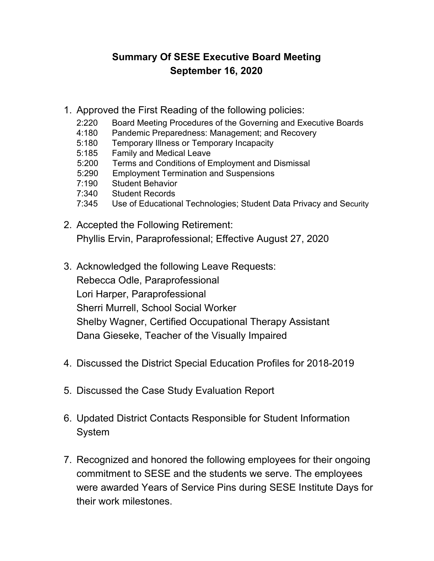# **Summary Of SESE Executive Board Meeting September 16, 2020**

- 1. Approved the First Reading of the following policies:
	- 2:220 Board Meeting Procedures of the Governing and Executive Boards
	- 4:180 Pandemic Preparedness: Management; and Recovery
	- 5:180 Temporary Illness or Temporary Incapacity
	- 5:185 Family and Medical Leave
	- 5:200 Terms and Conditions of Employment and Dismissal
	- 5:290 Employment Termination and Suspensions
	- 7:190 Student Behavior
	- 7:340 Student Records
	- 7:345 Use of Educational Technologies; Student Data Privacy and Security
- 2. Accepted the Following Retirement: Phyllis Ervin, Paraprofessional; Effective August 27, 2020
- 3. Acknowledged the following Leave Requests: Rebecca Odle, Paraprofessional Lori Harper, Paraprofessional Sherri Murrell, School Social Worker Shelby Wagner, Certified Occupational Therapy Assistant Dana Gieseke, Teacher of the Visually Impaired
- 4. Discussed the District Special Education Profiles for 2018-2019
- 5. Discussed the Case Study Evaluation Report
- 6. Updated District Contacts Responsible for Student Information System
- 7. Recognized and honored the following employees for their ongoing commitment to SESE and the students we serve. The employees were awarded Years of Service Pins during SESE Institute Days for their work milestones.